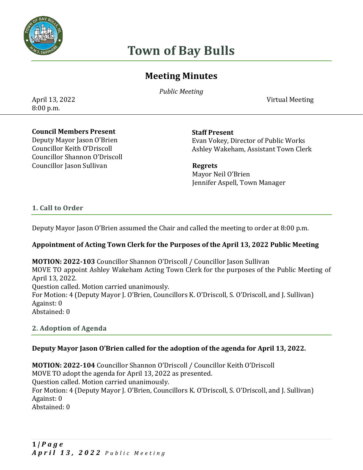

# **Town of Bay Bulls**

## **Meeting Minutes**

*Public Meeting* 

April 13, 2022 Virtual Meeting

8:00 p.m.

#### **Council Members Present**

Deputy Mayor Jason O'Brien Councillor Keith O'Driscoll Councillor Shannon O'Driscoll Councillor Jason Sullivan **Regrets** 

**Staff Present** Evan Vokey, Director of Public Works Ashley Wakeham, Assistant Town Clerk

 Mayor Neil O'Brien Jennifer Aspell, Town Manager

#### **1. Call to Order**

Deputy Mayor Jason O'Brien assumed the Chair and called the meeting to order at 8:00 p.m.

#### **Appointment of Acting Town Clerk for the Purposes of the April 13, 2022 Public Meeting**

**MOTION: 2022-103** Councillor Shannon O'Driscoll / Councillor Jason Sullivan MOVE TO appoint Ashley Wakeham Acting Town Clerk for the purposes of the Public Meeting of April 13, 2022. Question called. Motion carried unanimously. For Motion: 4 (Deputy Mayor J. O'Brien, Councillors K. O'Driscoll, S. O'Driscoll, and J. Sullivan) Against: 0 Abstained: 0

#### **2. Adoption of Agenda**

#### **Deputy Mayor Jason O'Brien called for the adoption of the agenda for April 13, 2022.**

**MOTION: 2022-104** Councillor Shannon O'Driscoll / Councillor Keith O'Driscoll MOVE TO adopt the agenda for April 13, 2022 as presented. Question called. Motion carried unanimously. For Motion: 4 (Deputy Mayor J. O'Brien, Councillors K. O'Driscoll, S. O'Driscoll, and J. Sullivan) Against: 0 Abstained: 0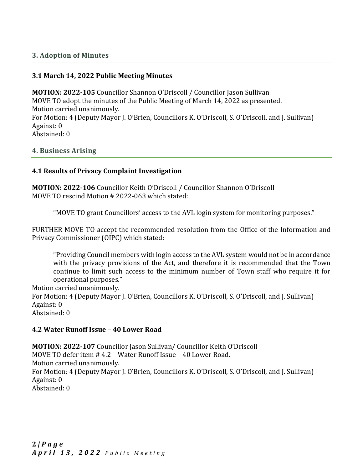#### **3. Adoption of Minutes**

#### **3.1 March 14, 2022 Public Meeting Minutes**

**MOTION: 2022-105** Councillor Shannon O'Driscoll / Councillor Jason Sullivan MOVE TO adopt the minutes of the Public Meeting of March 14, 2022 as presented. Motion carried unanimously. For Motion: 4 (Deputy Mayor J. O'Brien, Councillors K. O'Driscoll, S. O'Driscoll, and J. Sullivan) Against: 0 Abstained: 0

#### **4. Business Arising**

#### **4.1 Results of Privacy Complaint Investigation**

**MOTION: 2022-106** Councillor Keith O'Driscoll / Councillor Shannon O'Driscoll MOVE TO rescind Motion # 2022-063 which stated:

"MOVE TO grant Councillors' access to the AVL login system for monitoring purposes."

FURTHER MOVE TO accept the recommended resolution from the Office of the Information and Privacy Commissioner (OIPC) which stated:

"Providing Council members with login access to the AVL system would not be in accordance with the privacy provisions of the Act, and therefore it is recommended that the Town continue to limit such access to the minimum number of Town staff who require it for operational purposes."

Motion carried unanimously.

For Motion: 4 (Deputy Mayor J. O'Brien, Councillors K. O'Driscoll, S. O'Driscoll, and J. Sullivan) Against: 0

Abstained: 0

#### **4.2 Water Runoff Issue – 40 Lower Road**

**MOTION: 2022-107** Councillor Jason Sullivan/ Councillor Keith O'Driscoll MOVE TO defer item # 4.2 – Water Runoff Issue – 40 Lower Road. Motion carried unanimously. For Motion: 4 (Deputy Mayor J. O'Brien, Councillors K. O'Driscoll, S. O'Driscoll, and J. Sullivan) Against: 0 Abstained: 0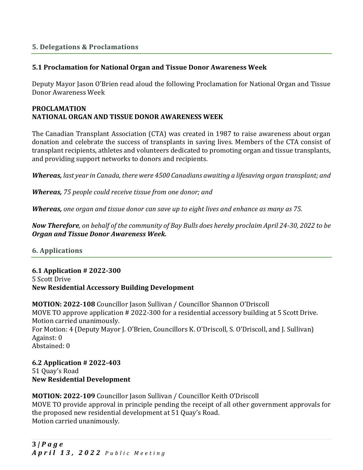#### **5. Delegations & Proclamations**

#### **5.1 Proclamation for National Organ and Tissue Donor Awareness Week**

Deputy Mayor Jason O'Brien read aloud the following Proclamation for National Organ and Tissue Donor Awareness Week

#### **PROCLAMATION NATIONAL ORGAN AND TISSUE DONOR AWARENESS WEEK**

The Canadian Transplant Association (CTA) was created in 1987 to raise awareness about organ donation and celebrate the success of transplants in saving lives. Members of the CTA consist of transplant recipients, athletes and volunteers dedicated to promoting organ and tissue transplants, and providing support networks to donors and recipients.

*Whereas, last year in Canada, there were 4500 Canadians awaiting a lifesaving organ transplant; and*

*Whereas, 75 people could receive tissue from one donor; and*

*Whereas, one organ and tissue donor can save up to eight lives and enhance as many as 75.*

*Now Therefore, on behalf of the community of Bay Bulls does hereby proclaim April 24-30, 2022 to be Organ and Tissue Donor Awareness Week.*

#### **6. Applications**

**6.1 Application # 2022-300** 5 Scott Drive **New Residential Accessory Building Development** 

**MOTION: 2022-108** Councillor Jason Sullivan / Councillor Shannon O'Driscoll MOVE TO approve application # 2022-300 for a residential accessory building at 5 Scott Drive. Motion carried unanimously. For Motion: 4 (Deputy Mayor J. O'Brien, Councillors K. O'Driscoll, S. O'Driscoll, and J. Sullivan) Against: 0 Abstained: 0

**6.2 Application # 2022-403** 51 Quay's Road **New Residential Development** 

#### **MOTION: 2022-109** Councillor Jason Sullivan / Councillor Keith O'Driscoll MOVE TO provide approval in principle pending the receipt of all other government approvals for the proposed new residential development at 51 Quay's Road. Motion carried unanimously.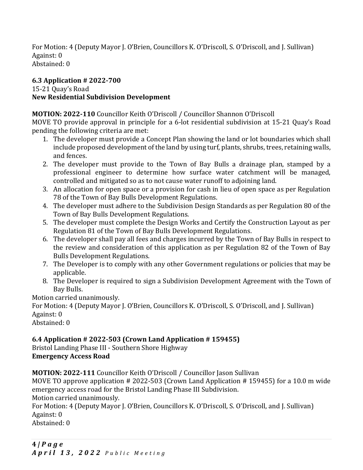For Motion: 4 (Deputy Mayor J. O'Brien, Councillors K. O'Driscoll, S. O'Driscoll, and J. Sullivan) Against: 0 Abstained: 0

## **6.3 Application # 2022-700**

#### 15-21 Quay's Road **New Residential Subdivision Development**

## **MOTION: 2022-110** Councillor Keith O'Driscoll / Councillor Shannon O'Driscoll

MOVE TO provide approval in principle for a 6-lot residential subdivision at 15-21 Quay's Road pending the following criteria are met:

- 1. The developer must provide a Concept Plan showing the land or lot boundaries which shall include proposed development of the land by using turf, plants, shrubs, trees, retaining walls, and fences.
- 2. The developer must provide to the Town of Bay Bulls a drainage plan, stamped by a professional engineer to determine how surface water catchment will be managed, controlled and mitigated so as to not cause water runoff to adjoining land.
- 3. An allocation for open space or a provision for cash in lieu of open space as per Regulation 78 of the Town of Bay Bulls Development Regulations.
- 4. The developer must adhere to the Subdivision Design Standards as per Regulation 80 of the Town of Bay Bulls Development Regulations.
- 5. The developer must complete the Design Works and Certify the Construction Layout as per Regulation 81 of the Town of Bay Bulls Development Regulations.
- 6. The developer shall pay all fees and charges incurred by the Town of Bay Bulls in respect to the review and consideration of this application as per Regulation 82 of the Town of Bay Bulls Development Regulations.
- 7. The Developer is to comply with any other Government regulations or policies that may be applicable.
- 8. The Developer is required to sign a Subdivision Development Agreement with the Town of Bay Bulls.

Motion carried unanimously.

For Motion: 4 (Deputy Mayor J. O'Brien, Councillors K. O'Driscoll, S. O'Driscoll, and J. Sullivan) Against: 0

Abstained: 0

## **6.4 Application # 2022-503 (Crown Land Application # 159455)**

Bristol Landing Phase III - Southern Shore Highway **Emergency Access Road**

**MOTION: 2022-111** Councillor Keith O'Driscoll / Councillor Jason Sullivan

MOVE TO approve application # 2022-503 (Crown Land Application # 159455) for a 10.0 m wide emergency access road for the Bristol Landing Phase III Subdivision.

Motion carried unanimously.

For Motion: 4 (Deputy Mayor J. O'Brien, Councillors K. O'Driscoll, S. O'Driscoll, and J. Sullivan) Against: 0 Abstained: 0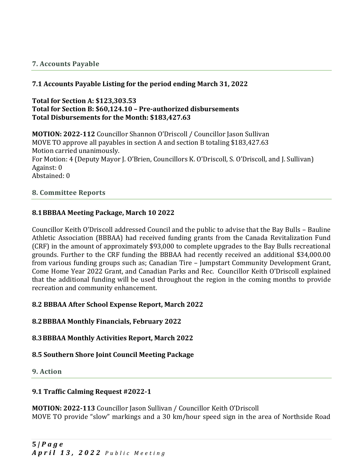#### **7. Accounts Payable**

#### **7.1 Accounts Payable Listing for the period ending March 31, 2022**

#### **Total for Section A: \$123,303.53 Total for Section B: \$60,124.10 – Pre-authorized disbursements Total Disbursements for the Month: \$183,427.63**

**MOTION: 2022-112** Councillor Shannon O'Driscoll / Councillor Jason Sullivan MOVE TO approve all payables in section A and section B totaling \$183,427.63 Motion carried unanimously. For Motion: 4 (Deputy Mayor J. O'Brien, Councillors K. O'Driscoll, S. O'Driscoll, and J. Sullivan) Against: 0 Abstained: 0

#### **8. Committee Reports**

#### **8.1BBBAA Meeting Package, March 10 2022**

Councillor Keith O'Driscoll addressed Council and the public to advise that the Bay Bulls – Bauline Athletic Association (BBBAA) had received funding grants from the Canada Revitalization Fund (CRF) in the amount of approximately \$93,000 to complete upgrades to the Bay Bulls recreational grounds. Further to the CRF funding the BBBAA had recently received an additional \$34,000.00 from various funding groups such as; Canadian Tire – Jumpstart Community Development Grant, Come Home Year 2022 Grant, and Canadian Parks and Rec. Councillor Keith O'Driscoll explained that the additional funding will be used throughout the region in the coming months to provide recreation and community enhancement.

#### **8.2 BBBAA After School Expense Report, March 2022**

#### **8.2BBBAA Monthly Financials, February 2022**

#### **8.3BBBAA Monthly Activities Report, March 2022**

#### **8.5 Southern Shore Joint Council Meeting Package**

#### **9. Action**

#### **9.1 Traffic Calming Request #2022-1**

**MOTION: 2022-113** Councillor Jason Sullivan / Councillor Keith O'Driscoll MOVE TO provide "slow" markings and a 30 km/hour speed sign in the area of Northside Road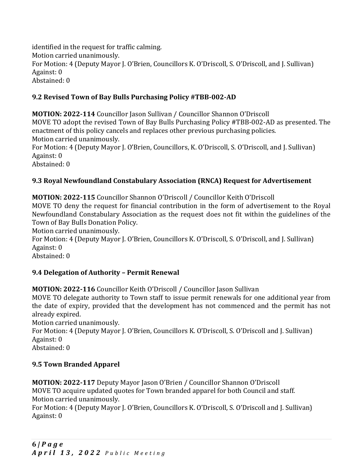identified in the request for traffic calming. Motion carried unanimously. For Motion: 4 (Deputy Mayor J. O'Brien, Councillors K. O'Driscoll, S. O'Driscoll, and J. Sullivan) Against: 0 Abstained: 0

## **9.2 Revised Town of Bay Bulls Purchasing Policy #TBB-002-AD**

**MOTION: 2022-114** Councillor Jason Sullivan / Councillor Shannon O'Driscoll MOVE TO adopt the revised Town of Bay Bulls Purchasing Policy #TBB-002-AD as presented. The enactment of this policy cancels and replaces other previous purchasing policies. Motion carried unanimously.

For Motion: 4 (Deputy Mayor J. O'Brien, Councillors, K. O'Driscoll, S. O'Driscoll, and J. Sullivan) Against: 0

Abstained: 0

## **9.3 Royal Newfoundland Constabulary Association (RNCA) Request for Advertisement**

**MOTION: 2022-115** Councillor Shannon O'Driscoll / Councillor Keith O'Driscoll MOVE TO deny the request for financial contribution in the form of advertisement to the Royal Newfoundland Constabulary Association as the request does not fit within the guidelines of the Town of Bay Bulls Donation Policy.

Motion carried unanimously.

For Motion: 4 (Deputy Mayor J. O'Brien, Councillors K. O'Driscoll, S. O'Driscoll, and J. Sullivan) Against: 0

Abstained: 0

## **9.4 Delegation of Authority – Permit Renewal**

**MOTION: 2022-116** Councillor Keith O'Driscoll / Councillor Jason Sullivan

MOVE TO delegate authority to Town staff to issue permit renewals for one additional year from the date of expiry, provided that the development has not commenced and the permit has not already expired.

Motion carried unanimously.

For Motion: 4 (Deputy Mayor J. O'Brien, Councillors K. O'Driscoll, S. O'Driscoll and J. Sullivan) Against: 0 Abstained: 0

## **9.5 Town Branded Apparel**

**MOTION: 2022-117** Deputy Mayor Jason O'Brien / Councillor Shannon O'Driscoll MOVE TO acquire updated quotes for Town branded apparel for both Council and staff. Motion carried unanimously.

For Motion: 4 (Deputy Mayor J. O'Brien, Councillors K. O'Driscoll, S. O'Driscoll and J. Sullivan) Against: 0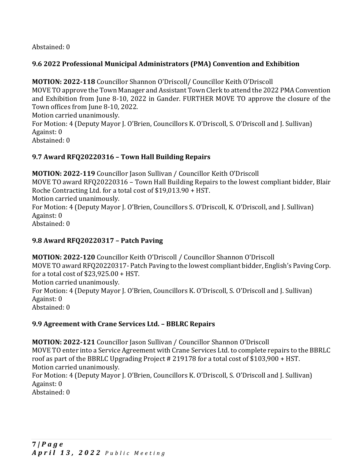Abstained: 0

## **9.6 2022 Professional Municipal Administrators (PMA) Convention and Exhibition**

**MOTION: 2022-118** Councillor Shannon O'Driscoll/ Councillor Keith O'Driscoll MOVE TO approve the Town Manager and Assistant Town Clerk to attend the 2022 PMA Convention and Exhibition from June 8-10, 2022 in Gander. FURTHER MOVE TO approve the closure of the Town offices from June 8-10, 2022. Motion carried unanimously.

For Motion: 4 (Deputy Mayor J. O'Brien, Councillors K. O'Driscoll, S. O'Driscoll and J. Sullivan) Against: 0

Abstained: 0

## **9.7 Award RFQ20220316 – Town Hall Building Repairs**

**MOTION: 2022-119** Councillor Jason Sullivan / Councillor Keith O'Driscoll MOVE TO award RFQ20220316 – Town Hall Building Repairs to the lowest compliant bidder, Blair Roche Contracting Ltd. for a total cost of \$19,013.90 + HST. Motion carried unanimously. For Motion: 4 (Deputy Mayor J. O'Brien, Councillors S. O'Driscoll, K. O'Driscoll, and J. Sullivan) Against: 0 Abstained: 0

## **9.8 Award RFQ20220317 – Patch Paving**

**MOTION: 2022-120** Councillor Keith O'Driscoll / Councillor Shannon O'Driscoll MOVE TO award RFQ20220317- Patch Paving to the lowest compliant bidder, English's Paving Corp. for a total cost of \$23,925.00 + HST. Motion carried unanimously. For Motion: 4 (Deputy Mayor J. O'Brien, Councillors K. O'Driscoll, S. O'Driscoll and J. Sullivan) Against: 0 Abstained: 0

## **9.9 Agreement with Crane Services Ltd. – BBLRC Repairs**

**MOTION: 2022-121** Councillor Jason Sullivan / Councillor Shannon O'Driscoll MOVE TO enter into a Service Agreement with Crane Services Ltd. to complete repairs to the BBRLC roof as part of the BBRLC Upgrading Project # 219178 for a total cost of \$103,900 + HST. Motion carried unanimously.

For Motion: 4 (Deputy Mayor J. O'Brien, Councillors K. O'Driscoll, S. O'Driscoll and J. Sullivan) Against: 0

Abstained: 0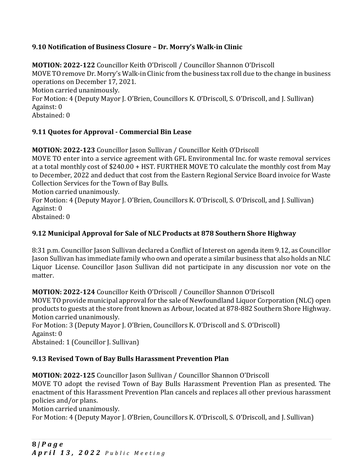## **9.10 Notification of Business Closure – Dr. Morry's Walk-in Clinic**

**MOTION: 2022-122** Councillor Keith O'Driscoll / Councillor Shannon O'Driscoll MOVE TO remove Dr. Morry's Walk-in Clinic from the business tax roll due to the change in business operations on December 17, 2021. Motion carried unanimously. For Motion: 4 (Deputy Mayor J. O'Brien, Councillors K. O'Driscoll, S. O'Driscoll, and J. Sullivan)

Against: 0

Abstained: 0

## **9.11 Quotes for Approval - Commercial Bin Lease**

**MOTION: 2022-123** Councillor Jason Sullivan / Councillor Keith O'Driscoll MOVE TO enter into a service agreement with GFL Environmental Inc. for waste removal services at a total monthly cost of \$240.00 + HST. FURTHER MOVE TO calculate the monthly cost from May to December, 2022 and deduct that cost from the Eastern Regional Service Board invoice for Waste Collection Services for the Town of Bay Bulls.

Motion carried unanimously.

For Motion: 4 (Deputy Mayor J. O'Brien, Councillors K. O'Driscoll, S. O'Driscoll, and J. Sullivan) Against: 0

Abstained: 0

## **9.12 Municipal Approval for Sale of NLC Products at 878 Southern Shore Highway**

8:31 p.m. Councillor Jason Sullivan declared a Conflict of Interest on agenda item 9.12, as Councillor Jason Sullivan has immediate family who own and operate a similar business that also holds an NLC Liquor License. Councillor Jason Sullivan did not participate in any discussion nor vote on the matter.

**MOTION: 2022-124** Councillor Keith O'Driscoll / Councillor Shannon O'Driscoll MOVE TO provide municipal approval for the sale of Newfoundland Liquor Corporation (NLC) open products to guests at the store front known as Arbour, located at 878-882 Southern Shore Highway. Motion carried unanimously.

For Motion: 3 (Deputy Mayor J. O'Brien, Councillors K. O'Driscoll and S. O'Driscoll) Against: 0

Abstained: 1 (Councillor J. Sullivan)

## **9.13 Revised Town of Bay Bulls Harassment Prevention Plan**

**MOTION: 2022-125** Councillor Jason Sullivan / Councillor Shannon O'Driscoll MOVE TO adopt the revised Town of Bay Bulls Harassment Prevention Plan as presented. The

enactment of this Harassment Prevention Plan cancels and replaces all other previous harassment policies and/or plans.

Motion carried unanimously.

For Motion: 4 (Deputy Mayor J. O'Brien, Councillors K. O'Driscoll, S. O'Driscoll, and J. Sullivan)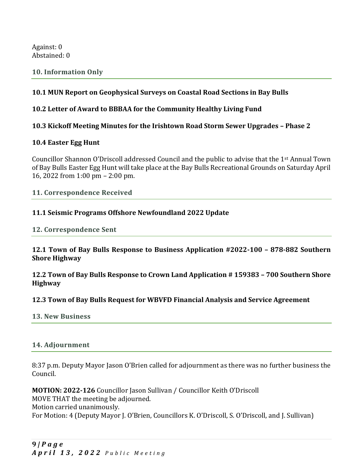Against: 0 Abstained: 0

#### **10. Information Only**

#### **10.1 MUN Report on Geophysical Surveys on Coastal Road Sections in Bay Bulls**

#### **10.2 Letter of Award to BBBAA for the Community Healthy Living Fund**

#### **10.3 Kickoff Meeting Minutes for the Irishtown Road Storm Sewer Upgrades – Phase 2**

#### **10.4 Easter Egg Hunt**

Councillor Shannon O'Driscoll addressed Council and the public to advise that the 1st Annual Town of Bay Bulls Easter Egg Hunt will take place at the Bay Bulls Recreational Grounds on Saturday April 16, 2022 from 1:00 pm – 2:00 pm.

**11. Correspondence Received** 

#### **11.1 Seismic Programs Offshore Newfoundland 2022 Update**

**12. Correspondence Sent** 

**12.1 Town of Bay Bulls Response to Business Application #2022-100 – 878-882 Southern Shore Highway**

**12.2 Town of Bay Bulls Response to Crown Land Application # 159383 – 700 Southern Shore Highway**

**12.3 Town of Bay Bulls Request for WBVFD Financial Analysis and Service Agreement**

**13. New Business** 

#### **14. Adjournment**

8:37 p.m. Deputy Mayor Jason O'Brien called for adjournment as there was no further business the Council.

**MOTION: 2022-126** Councillor Jason Sullivan / Councillor Keith O'Driscoll MOVE THAT the meeting be adjourned. Motion carried unanimously. For Motion: 4 (Deputy Mayor J. O'Brien, Councillors K. O'Driscoll, S. O'Driscoll, and J. Sullivan)